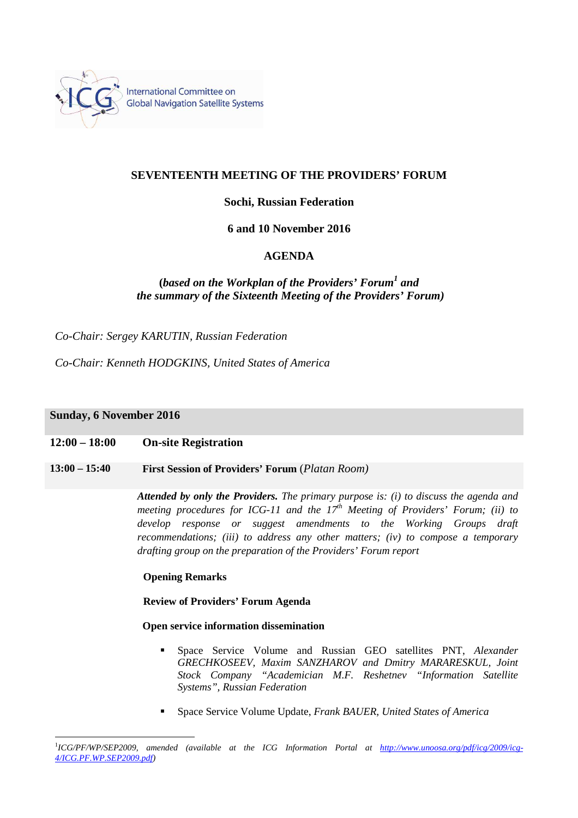

## **SEVENTEENTH MEETING OF THE PROVIDERS' FORUM**

# **Sochi, Russian Federation**

## **6 and 10 November 2016**

# **AGENDA**

# **(***based on the Workplan of the Providers' Forum<sup>1</sup> and the summary of the Sixteenth Meeting of the Providers' Forum)*

*Co-Chair: Sergey KARUTIN, Russian Federation*

*Co-Chair: Kenneth HODGKINS, United States of America*

## **Sunday, 6 November 2016**

 $\overline{a}$ 

## **12:00 – 18:00 On-site Registration**

# **13:00 – 15:40 First Session of Providers' Forum** (*Platan Room)*

*Attended by only the Providers. The primary purpose is: (i) to discuss the agenda and meeting procedures for ICG-11 and the 17th Meeting of Providers' Forum; (ii) to develop response or suggest amendments to the Working Groups draft recommendations; (iii) to address any other matters; (iv) to compose a temporary drafting group on the preparation of the Providers' Forum report*

### **Opening Remarks**

## **Review of Providers' Forum Agenda**

### **Open service information dissemination**

- Space Service Volume and Russian GEO satellites PNT, *Alexander GRECHKOSEEV, Maxim SANZHAROV and Dmitry MARARESKUL, Joint Stock Company "Academician M.F. Reshetnev "Information Satellite Systems", Russian Federation*
- Space Service Volume Update, *Frank BAUER, United States of America*

<sup>&</sup>lt;sup>1</sup>ICG/PF/WP/SEP2009, amended (available at the ICG Information Portal at http://www.unoosa.org/pdf/icg/2009/icg-*4/ICG.PF.WP.SEP2009.pdf)*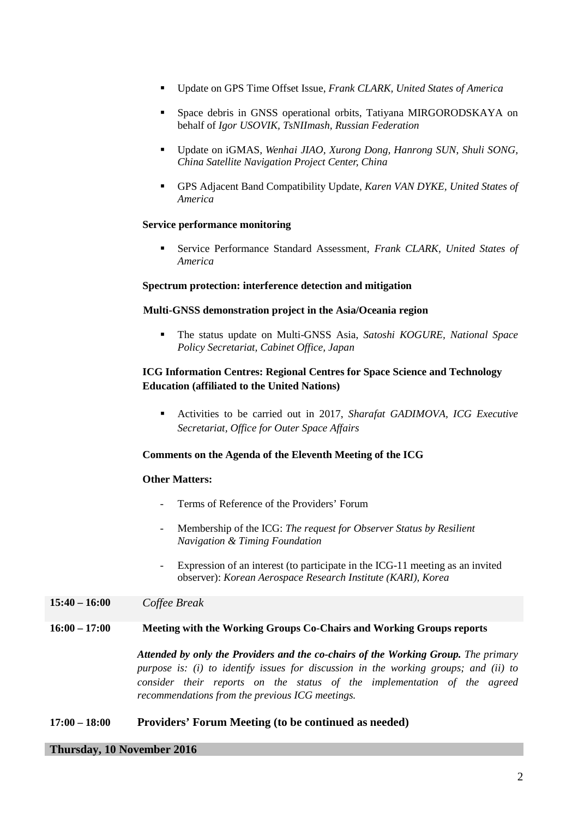- Update on GPS Time Offset Issue, *Frank CLARK, United States of America*
- Space debris in GNSS operational orbits, Tatiyana MIRGORODSKAYA on behalf of *Igor USOVIK, TsNIImash, Russian Federation*
- Update on iGMAS*, Wenhai JIAO, Xurong Dong, Hanrong SUN*, *Shuli SONG, China Satellite Navigation Project Center, China*
- GPS Adjacent Band Compatibility Update, *Karen VAN DYKE, United States of America*

## **Service performance monitoring**

 Service Performance Standard Assessment, *Frank CLARK, United States of America* 

### **Spectrum protection: interference detection and mitigation**

### **Multi-GNSS demonstration project in the Asia/Oceania region**

 The status update on Multi-GNSS Asia, *Satoshi KOGURE, National Space Policy Secretariat, Cabinet Office, Japan* 

## **ICG Information Centres: Regional Centres for Space Science and Technology Education (affiliated to the United Nations)**

 Activities to be carried out in 2017, *Sharafat GADIMOVA, ICG Executive Secretariat, Office for Outer Space Affairs* 

## **Comments on the Agenda of the Eleventh Meeting of the ICG**

### **Other Matters:**

- Terms of Reference of the Providers' Forum
- Membership of the ICG: *The request for Observer Status by Resilient Navigation & Timing Foundation*
- Expression of an interest (to participate in the ICG-11 meeting as an invited observer): *Korean Aerospace Research Institute (KARI), Korea*

### **15:40 – 16:00** *Coffee Break*

## **16:00 – 17:00 Meeting with the Working Groups Co-Chairs and Working Groups reports**

*Attended by only the Providers and the co-chairs of the Working Group. The primary purpose is: (i) to identify issues for discussion in the working groups; and (ii) to consider their reports on the status of the implementation of the agreed recommendations from the previous ICG meetings.*

## **17:00 – 18:00 Providers' Forum Meeting (to be continued as needed)**

## **Thursday, 10 November 2016**